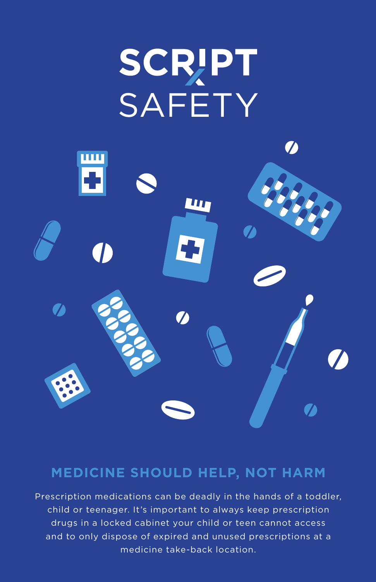# **SCRIPT SAFETY**



### **MEDICINE SHOULD HELP, NOT HARM**

Prescription medications can be deadly in the hands of a toddler, child or teenager. It's important to always keep prescription drugs in a locked cabinet your child or teen cannot access and to only dispose of expired and unused prescriptions at a medicine take-back location.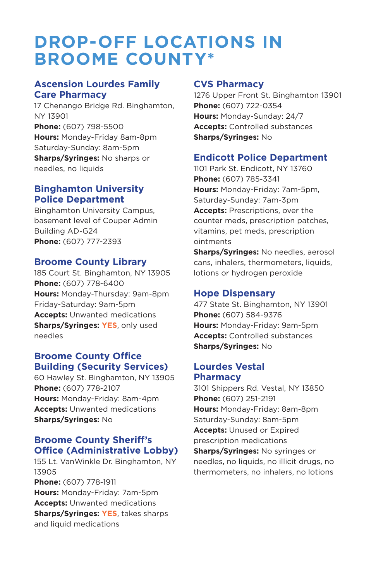## **DROP-OFF LOCATIONS IN BROOME COUNTY\***

#### **Ascension Lourdes Family Care Pharmacy**

17 Chenango Bridge Rd. Binghamton, NY 13901 **Phone:** (607) 798-5500 **Hours:** Monday-Friday 8am-8pm Saturday-Sunday: 8am-5pm **Sharps/Syringes:** No sharps or needles, no liquids

#### **Binghamton University Police Department**

Binghamton University Campus, basement level of Couper Admin Building AD-G24 **Phone:** (607) 777-2393

#### **Broome County Library**

185 Court St. Binghamton, NY 13905 **Phone:** (607) 778-6400 **Hours:** Monday-Thursday: 9am-8pm Friday-Saturday: 9am-5pm **Accepts:** Unwanted medications **Sharps/Syringes: YES**, only used needles

#### **Broome County Office Building (Security Services)**

60 Hawley St. Binghamton, NY 13905 **Phone:** (607) 778-2107 **Hours:** Monday-Friday: 8am-4pm **Accepts:** Unwanted medications **Sharps/Syringes:** No

#### **Broome County Sheriff's Office (Administrative Lobby)**

155 Lt. VanWinkle Dr. Binghamton, NY 13905 **Phone:** (607) 778-1911

**Hours:** Monday-Friday: 7am-5pm **Accepts:** Unwanted medications **Sharps/Syringes: YES**, takes sharps and liquid medications

#### **CVS Pharmacy**

1276 Upper Front St. Binghamton 13901 **Phone:** (607) 722-0354 **Hours:** Monday-Sunday: 24/7 **Accepts:** Controlled substances **Sharps/Syringes:** No

#### **Endicott Police Department**

1101 Park St. Endicott, NY 13760 **Phone:** (607) 785-3341 **Hours:** Monday-Friday: 7am-5pm, Saturday-Sunday: 7am-3pm **Accepts:** Prescriptions, over the counter meds, prescription patches, vitamins, pet meds, prescription ointments

**Sharps/Syringes:** No needles, aerosol cans, inhalers, thermometers, liquids, lotions or hydrogen peroxide

#### **Hope Dispensary**

477 State St. Binghamton, NY 13901 **Phone:** (607) 584-9376 **Hours:** Monday-Friday: 9am-5pm **Accepts:** Controlled substances **Sharps/Syringes:** No

#### **Lourdes Vestal Pharmacy**

3101 Shippers Rd. Vestal, NY 13850 **Phone:** (607) 251-2191 **Hours:** Monday-Friday: 8am-8pm Saturday-Sunday: 8am-5pm **Accepts:** Unused or Expired prescription medications **Sharps/Syringes:** No syringes or needles, no liquids, no illicit drugs, no thermometers, no inhalers, no lotions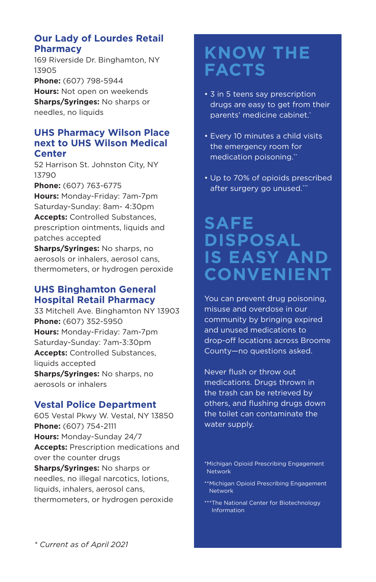#### **Our Lady of Lourdes Retail Pharmacy**

169 Riverside Dr. Binghamton, NY 13905 **Phone:** (607) 798-5944

**Hours:** Not open on weekends **Sharps/Syringes:** No sharps or needles, no liquids

#### **UHS Pharmacy Wilson Place next to UHS Wilson Medical Center**

52 Harrison St. Johnston City, NY 13790

**Phone:** (607) 763-6775

**Hours:** Monday-Friday: 7am-7pm Saturday-Sunday: 8am- 4:30pm **Accepts:** Controlled Substances, prescription ointments, liquids and patches accepted

**Sharps/Syringes:** No sharps, no aerosols or inhalers, aerosol cans, thermometers, or hydrogen peroxide

#### **UHS Binghamton General Hospital Retail Pharmacy**

33 Mitchell Ave. Binghamton NY 13903 **Phone:** (607) 352-5950 **Hours:** Monday-Friday: 7am-7pm Saturday-Sunday: 7am-3:30pm **Accepts:** Controlled Substances, liquids accepted **Sharps/Syringes:** No sharps, no aerosols or inhalers

#### **Vestal Police Department**

605 Vestal Pkwy W. Vestal, NY 13850 **Phone:** (607) 754-2111 **Hours:** Monday-Sunday 24/7 **Accepts:** Prescription medications and over the counter drugs **Sharps/Syringes:** No sharps or needles, no illegal narcotics, lotions, liquids, inhalers, aerosol cans, thermometers, or hydrogen peroxide

## **KNOW THE FACTS**

- 3 in 5 teens say prescription drugs are easy to get from their parents' medicine cabinet.
- Every 10 minutes a child visits the emergency room for medication poisoning."
- Up to 70% of opioids prescribed after surgery go unused.""

## **SAFE DISPOSAL IS EASY AND CONVENIENT**

You can prevent drug poisoning, misuse and overdose in our community by bringing expired and unused medications to drop-off locations across Broome County—no questions asked.

Never flush or throw out medications. Drugs thrown in the trash can be retrieved by others, and flushing drugs down the toilet can contaminate the water supply.

- \*\* Michigan Opioid Prescribing Engagement Network
- \*\*\* The National Center for Biotechnology Information

<sup>\*</sup> Michigan Opioid Prescribing Engagement Network